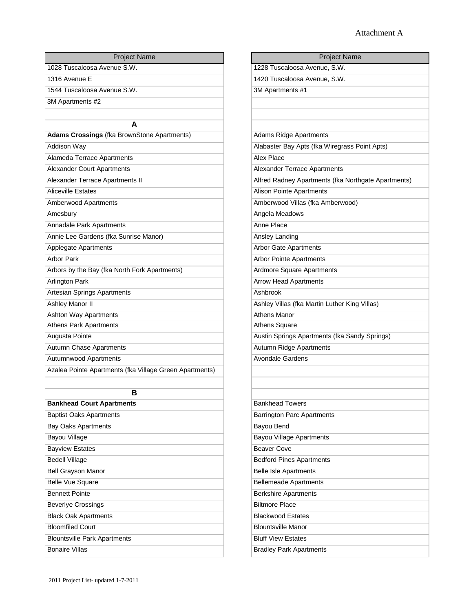| <b>Project Name</b>                                     | <b>Project Name</b>                                 |
|---------------------------------------------------------|-----------------------------------------------------|
| 1028 Tuscaloosa Avenue S.W.                             | 1228 Tuscaloosa Avenue, S.W.                        |
| 1316 Avenue E                                           | 1420 Tuscaloosa Avenue, S.W.                        |
| 1544 Tuscaloosa Avenue S.W.                             | 3M Apartments #1                                    |
| 3M Apartments #2                                        |                                                     |
|                                                         |                                                     |
| A                                                       |                                                     |
| <b>Adams Crossings (fka BrownStone Apartments)</b>      | <b>Adams Ridge Apartments</b>                       |
| Addison Way                                             | Alabaster Bay Apts (fka Wiregrass Point Apts)       |
| Alameda Terrace Apartments                              | Alex Place                                          |
| <b>Alexander Court Apartments</b>                       | Alexander Terrace Apartments                        |
| Alexander Terrace Apartments II                         | Alfred Radney Apartments (fka Northgate Apartments) |
| <b>Aliceville Estates</b>                               | <b>Alison Pointe Apartments</b>                     |
| Amberwood Apartments                                    | Amberwood Villas (fka Amberwood)                    |
| Amesbury                                                | Angela Meadows                                      |
| Annadale Park Apartments                                | Anne Place                                          |
| Annie Lee Gardens (fka Sunrise Manor)                   | Ansley Landing                                      |
| Applegate Apartments                                    | Arbor Gate Apartments                               |
| <b>Arbor Park</b>                                       | <b>Arbor Pointe Apartments</b>                      |
| Arbors by the Bay (fka North Fork Apartments)           | <b>Ardmore Square Apartments</b>                    |
| <b>Arlington Park</b>                                   | <b>Arrow Head Apartments</b>                        |
| Artesian Springs Apartments                             | Ashbrook                                            |
| <b>Ashley Manor II</b>                                  | Ashley Villas (fka Martin Luther King Villas)       |
| <b>Ashton Way Apartments</b>                            | <b>Athens Manor</b>                                 |
| <b>Athens Park Apartments</b>                           | Athens Square                                       |
| Augusta Pointe                                          | Austin Springs Apartments (fka Sandy Springs)       |
| Autumn Chase Apartments                                 | Autumn Ridge Apartments                             |
| Autumnwood Apartments                                   | <b>Avondale Gardens</b>                             |
| Azalea Pointe Apartments (fka Village Green Apartments) |                                                     |
|                                                         |                                                     |
| в                                                       |                                                     |
| <b>Bankhead Court Apartments</b>                        | <b>Bankhead Towers</b>                              |
| <b>Baptist Oaks Apartments</b>                          | <b>Barrington Parc Apartments</b>                   |
| <b>Bay Oaks Apartments</b>                              | Bayou Bend                                          |
| Bayou Village                                           | <b>Bayou Village Apartments</b>                     |
| <b>Bayview Estates</b>                                  | <b>Beaver Cove</b>                                  |
| <b>Bedell Village</b>                                   | <b>Bedford Pines Apartments</b>                     |
| <b>Bell Grayson Manor</b>                               | <b>Belle Isle Apartments</b>                        |
| <b>Belle Vue Square</b>                                 | <b>Bellemeade Apartments</b>                        |
| <b>Bennett Pointe</b>                                   | <b>Berkshire Apartments</b>                         |
| <b>Beverlye Crossings</b>                               | <b>Biltmore Place</b>                               |
| <b>Black Oak Apartments</b>                             | <b>Blackwood Estates</b>                            |
| <b>Bloomfiled Court</b>                                 | <b>Blountsville Manor</b>                           |
| <b>Blountsville Park Apartments</b>                     | <b>Bluff View Estates</b>                           |
| <b>Bonaire Villas</b>                                   | <b>Bradley Park Apartments</b>                      |

| 1228 Tuscaloosa Avenue, S.W.<br>1420 Tuscaloosa Avenue, S.W.<br>3M Apartments #1<br><b>Adams Ridge Apartments</b><br>Alabaster Bay Apts (fka Wiregrass Point Apts)<br>Alex Place<br><b>Alexander Terrace Apartments</b><br>Alfred Radney Apartments (fka Northgate Apartments)<br><b>Alison Pointe Apartments</b><br>Amberwood Villas (fka Amberwood)<br>Angela Meadows<br>Anne Place<br>Ansley Landing<br><b>Arbor Gate Apartments</b><br><b>Arbor Pointe Apartments</b><br>Ardmore Square Apartments<br><b>Arrow Head Apartments</b><br>Ashbrook<br>Ashley Villas (fka Martin Luther King Villas)<br><b>Athens Manor</b><br><b>Athens Square</b><br>Austin Springs Apartments (fka Sandy Springs)<br>Autumn Ridge Apartments<br>Avondale Gardens<br><b>Bankhead Towers</b><br><b>Barrington Parc Apartments</b><br>Bayou Bend<br><b>Bayou Village Apartments</b><br><b>Beaver Cove</b><br><b>Bedford Pines Apartments</b><br><b>Belle Isle Apartments</b><br><b>Bellemeade Apartments</b><br><b>Berkshire Apartments</b><br><b>Biltmore Place</b><br><b>Blackwood Estates</b><br><b>Blountsville Manor</b> |                     |
|--------------------------------------------------------------------------------------------------------------------------------------------------------------------------------------------------------------------------------------------------------------------------------------------------------------------------------------------------------------------------------------------------------------------------------------------------------------------------------------------------------------------------------------------------------------------------------------------------------------------------------------------------------------------------------------------------------------------------------------------------------------------------------------------------------------------------------------------------------------------------------------------------------------------------------------------------------------------------------------------------------------------------------------------------------------------------------------------------------------|---------------------|
|                                                                                                                                                                                                                                                                                                                                                                                                                                                                                                                                                                                                                                                                                                                                                                                                                                                                                                                                                                                                                                                                                                              | <b>Project Name</b> |
|                                                                                                                                                                                                                                                                                                                                                                                                                                                                                                                                                                                                                                                                                                                                                                                                                                                                                                                                                                                                                                                                                                              |                     |
|                                                                                                                                                                                                                                                                                                                                                                                                                                                                                                                                                                                                                                                                                                                                                                                                                                                                                                                                                                                                                                                                                                              |                     |
|                                                                                                                                                                                                                                                                                                                                                                                                                                                                                                                                                                                                                                                                                                                                                                                                                                                                                                                                                                                                                                                                                                              |                     |
|                                                                                                                                                                                                                                                                                                                                                                                                                                                                                                                                                                                                                                                                                                                                                                                                                                                                                                                                                                                                                                                                                                              |                     |
|                                                                                                                                                                                                                                                                                                                                                                                                                                                                                                                                                                                                                                                                                                                                                                                                                                                                                                                                                                                                                                                                                                              |                     |
|                                                                                                                                                                                                                                                                                                                                                                                                                                                                                                                                                                                                                                                                                                                                                                                                                                                                                                                                                                                                                                                                                                              |                     |
|                                                                                                                                                                                                                                                                                                                                                                                                                                                                                                                                                                                                                                                                                                                                                                                                                                                                                                                                                                                                                                                                                                              |                     |
|                                                                                                                                                                                                                                                                                                                                                                                                                                                                                                                                                                                                                                                                                                                                                                                                                                                                                                                                                                                                                                                                                                              |                     |
|                                                                                                                                                                                                                                                                                                                                                                                                                                                                                                                                                                                                                                                                                                                                                                                                                                                                                                                                                                                                                                                                                                              |                     |
|                                                                                                                                                                                                                                                                                                                                                                                                                                                                                                                                                                                                                                                                                                                                                                                                                                                                                                                                                                                                                                                                                                              |                     |
|                                                                                                                                                                                                                                                                                                                                                                                                                                                                                                                                                                                                                                                                                                                                                                                                                                                                                                                                                                                                                                                                                                              |                     |
|                                                                                                                                                                                                                                                                                                                                                                                                                                                                                                                                                                                                                                                                                                                                                                                                                                                                                                                                                                                                                                                                                                              |                     |
|                                                                                                                                                                                                                                                                                                                                                                                                                                                                                                                                                                                                                                                                                                                                                                                                                                                                                                                                                                                                                                                                                                              |                     |
|                                                                                                                                                                                                                                                                                                                                                                                                                                                                                                                                                                                                                                                                                                                                                                                                                                                                                                                                                                                                                                                                                                              |                     |
|                                                                                                                                                                                                                                                                                                                                                                                                                                                                                                                                                                                                                                                                                                                                                                                                                                                                                                                                                                                                                                                                                                              |                     |
|                                                                                                                                                                                                                                                                                                                                                                                                                                                                                                                                                                                                                                                                                                                                                                                                                                                                                                                                                                                                                                                                                                              |                     |
|                                                                                                                                                                                                                                                                                                                                                                                                                                                                                                                                                                                                                                                                                                                                                                                                                                                                                                                                                                                                                                                                                                              |                     |
|                                                                                                                                                                                                                                                                                                                                                                                                                                                                                                                                                                                                                                                                                                                                                                                                                                                                                                                                                                                                                                                                                                              |                     |
|                                                                                                                                                                                                                                                                                                                                                                                                                                                                                                                                                                                                                                                                                                                                                                                                                                                                                                                                                                                                                                                                                                              |                     |
|                                                                                                                                                                                                                                                                                                                                                                                                                                                                                                                                                                                                                                                                                                                                                                                                                                                                                                                                                                                                                                                                                                              |                     |
|                                                                                                                                                                                                                                                                                                                                                                                                                                                                                                                                                                                                                                                                                                                                                                                                                                                                                                                                                                                                                                                                                                              |                     |
|                                                                                                                                                                                                                                                                                                                                                                                                                                                                                                                                                                                                                                                                                                                                                                                                                                                                                                                                                                                                                                                                                                              |                     |
|                                                                                                                                                                                                                                                                                                                                                                                                                                                                                                                                                                                                                                                                                                                                                                                                                                                                                                                                                                                                                                                                                                              |                     |
|                                                                                                                                                                                                                                                                                                                                                                                                                                                                                                                                                                                                                                                                                                                                                                                                                                                                                                                                                                                                                                                                                                              |                     |
|                                                                                                                                                                                                                                                                                                                                                                                                                                                                                                                                                                                                                                                                                                                                                                                                                                                                                                                                                                                                                                                                                                              |                     |
|                                                                                                                                                                                                                                                                                                                                                                                                                                                                                                                                                                                                                                                                                                                                                                                                                                                                                                                                                                                                                                                                                                              |                     |
|                                                                                                                                                                                                                                                                                                                                                                                                                                                                                                                                                                                                                                                                                                                                                                                                                                                                                                                                                                                                                                                                                                              |                     |
|                                                                                                                                                                                                                                                                                                                                                                                                                                                                                                                                                                                                                                                                                                                                                                                                                                                                                                                                                                                                                                                                                                              |                     |
|                                                                                                                                                                                                                                                                                                                                                                                                                                                                                                                                                                                                                                                                                                                                                                                                                                                                                                                                                                                                                                                                                                              |                     |
|                                                                                                                                                                                                                                                                                                                                                                                                                                                                                                                                                                                                                                                                                                                                                                                                                                                                                                                                                                                                                                                                                                              |                     |
|                                                                                                                                                                                                                                                                                                                                                                                                                                                                                                                                                                                                                                                                                                                                                                                                                                                                                                                                                                                                                                                                                                              |                     |
|                                                                                                                                                                                                                                                                                                                                                                                                                                                                                                                                                                                                                                                                                                                                                                                                                                                                                                                                                                                                                                                                                                              |                     |
|                                                                                                                                                                                                                                                                                                                                                                                                                                                                                                                                                                                                                                                                                                                                                                                                                                                                                                                                                                                                                                                                                                              |                     |
|                                                                                                                                                                                                                                                                                                                                                                                                                                                                                                                                                                                                                                                                                                                                                                                                                                                                                                                                                                                                                                                                                                              |                     |
|                                                                                                                                                                                                                                                                                                                                                                                                                                                                                                                                                                                                                                                                                                                                                                                                                                                                                                                                                                                                                                                                                                              |                     |
|                                                                                                                                                                                                                                                                                                                                                                                                                                                                                                                                                                                                                                                                                                                                                                                                                                                                                                                                                                                                                                                                                                              |                     |
|                                                                                                                                                                                                                                                                                                                                                                                                                                                                                                                                                                                                                                                                                                                                                                                                                                                                                                                                                                                                                                                                                                              |                     |
|                                                                                                                                                                                                                                                                                                                                                                                                                                                                                                                                                                                                                                                                                                                                                                                                                                                                                                                                                                                                                                                                                                              |                     |
|                                                                                                                                                                                                                                                                                                                                                                                                                                                                                                                                                                                                                                                                                                                                                                                                                                                                                                                                                                                                                                                                                                              |                     |
|                                                                                                                                                                                                                                                                                                                                                                                                                                                                                                                                                                                                                                                                                                                                                                                                                                                                                                                                                                                                                                                                                                              |                     |
|                                                                                                                                                                                                                                                                                                                                                                                                                                                                                                                                                                                                                                                                                                                                                                                                                                                                                                                                                                                                                                                                                                              |                     |
|                                                                                                                                                                                                                                                                                                                                                                                                                                                                                                                                                                                                                                                                                                                                                                                                                                                                                                                                                                                                                                                                                                              |                     |
| <b>Bluff View Estates</b>                                                                                                                                                                                                                                                                                                                                                                                                                                                                                                                                                                                                                                                                                                                                                                                                                                                                                                                                                                                                                                                                                    |                     |
| <b>Bradley Park Apartments</b>                                                                                                                                                                                                                                                                                                                                                                                                                                                                                                                                                                                                                                                                                                                                                                                                                                                                                                                                                                                                                                                                               |                     |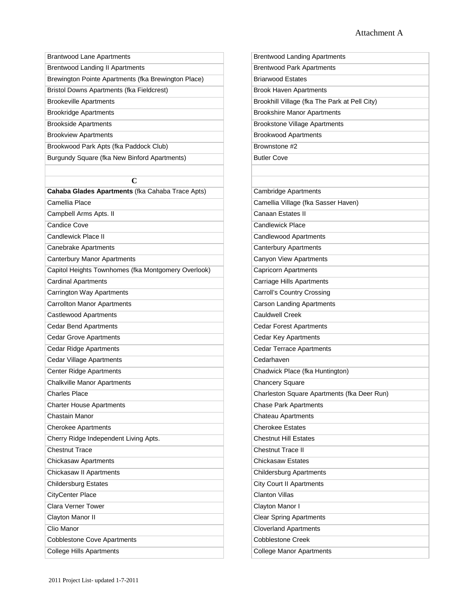| <b>Brantwood Lane Apartments</b>                    | <b>Brentwood Landing Apartments</b>           |
|-----------------------------------------------------|-----------------------------------------------|
| <b>Brentwood Landing II Apartments</b>              | <b>Brentwood Park Apartments</b>              |
| Brewington Pointe Apartments (fka Brewington Place) | <b>Briarwood Estates</b>                      |
| Bristol Downs Apartments (fka Fieldcrest)           | <b>Brook Haven Apartments</b>                 |
| <b>Brookeville Apartments</b>                       | Brookhill Village (fka The Park at Pell City) |
| <b>Brookridge Apartments</b>                        | <b>Brookshire Manor Apartments</b>            |
| <b>Brookside Apartments</b>                         | <b>Brookstone Village Apartments</b>          |
| <b>Brookview Apartments</b>                         | <b>Brookwood Apartments</b>                   |
| Brookwood Park Apts (fka Paddock Club)              | Brownstone #2                                 |
| Burgundy Square (fka New Binford Apartments)        | <b>Butler Cove</b>                            |
|                                                     |                                               |
| $\mathbf C$                                         |                                               |
| Cahaba Glades Apartments (fka Cahaba Trace Apts)    | <b>Cambridge Apartments</b>                   |
| Camellia Place                                      | Camellia Village (fka Sasser Haven)           |
| Campbell Arms Apts. II                              | Canaan Estates II                             |
| <b>Candice Cove</b>                                 | <b>Candlewick Place</b>                       |
| <b>Candlewick Place II</b>                          | <b>Candlewood Apartments</b>                  |
| <b>Canebrake Apartments</b>                         | <b>Canterbury Apartments</b>                  |
| <b>Canterbury Manor Apartments</b>                  | <b>Canyon View Apartments</b>                 |
| Capitol Heights Townhomes (fka Montgomery Overlook) | <b>Capricorn Apartments</b>                   |
| <b>Cardinal Apartments</b>                          | <b>Carriage Hills Apartments</b>              |
| <b>Carrington Way Apartments</b>                    | <b>Carroll's Country Crossing</b>             |
| <b>Carrollton Manor Apartments</b>                  | <b>Carson Landing Apartments</b>              |
| Castlewood Apartments                               | <b>Cauldwell Creek</b>                        |
| <b>Cedar Bend Apartments</b>                        | <b>Cedar Forest Apartments</b>                |
| <b>Cedar Grove Apartments</b>                       | Cedar Key Apartments                          |
| <b>Cedar Ridge Apartments</b>                       | <b>Cedar Terrace Apartments</b>               |
| <b>Cedar Village Apartments</b>                     | Cedarhaven                                    |
| <b>Center Ridge Apartments</b>                      | Chadwick Place (fka Huntington)               |
| <b>Chalkville Manor Apartments</b>                  | <b>Chancery Square</b>                        |
| <b>Charles Place</b>                                | Charleston Square Apartments (fka Deer Run)   |
| <b>Charter House Apartments</b>                     | <b>Chase Park Apartments</b>                  |
| Chastain Manor                                      | Chateau Apartments                            |
| <b>Cherokee Apartments</b>                          | <b>Cherokee Estates</b>                       |
| Cherry Ridge Independent Living Apts.               | <b>Chestnut Hill Estates</b>                  |
| <b>Chestnut Trace</b>                               | Chestnut Trace II                             |
| <b>Chickasaw Apartments</b>                         | <b>Chickasaw Estates</b>                      |
| Chickasaw II Apartments                             | <b>Childersburg Apartments</b>                |
| <b>Childersburg Estates</b>                         | <b>City Court II Apartments</b>               |
| <b>CityCenter Place</b>                             | <b>Clanton Villas</b>                         |
| <b>Clara Verner Tower</b>                           | Clayton Manor I                               |
| Clayton Manor II                                    | <b>Clear Spring Apartments</b>                |
| Clio Manor                                          | <b>Cloverland Apartments</b>                  |
| <b>Cobblestone Cove Apartments</b>                  | <b>Cobblestone Creek</b>                      |
| <b>College Hills Apartments</b>                     | <b>College Manor Apartments</b>               |
|                                                     |                                               |

| <b>Brentwood Landing Apartments</b>           |
|-----------------------------------------------|
| <b>Irentwood Park Apartments</b>              |
| <b>Briarwood Estates</b>                      |
| <b>Brook Haven Apartments</b>                 |
| Brookhill Village (fka The Park at Pell City) |
| <b>Brookshire Manor Apartments</b>            |
| <b>Brookstone Village Apartments</b>          |
| <b>Brookwood Apartments</b>                   |
| Brownstone #2                                 |
| <b>Butler Cove</b>                            |
|                                               |
|                                               |
| Cambridge Apartments                          |
| Camellia Village (fka Sasser Haven)           |
| Canaan Estates II                             |
| Candlewick Place                              |
| Candlewood Apartments                         |
| Canterbury Apartments                         |
| Canyon View Apartments                        |
| Capricorn Apartments                          |
| Carriage Hills Apartments                     |
| Carroll's Country Crossing                    |
| Carson Landing Apartments                     |
| Cauldwell Creek                               |
| Cedar Forest Apartments                       |
| Cedar Key Apartments                          |
| Cedar Terrace Apartments                      |
| edarhaven <sup>2</sup>                        |
| Chadwick Place (fka Huntington)               |
| Chancery Square                               |
| Charleston Square Apartments (fka Deer Run)   |
| Chase Park Apartments                         |
| Chateau Apartments                            |
| <b>Cherokee Estates</b>                       |
| <b>Chestnut Hill Estates</b>                  |
| hestnut Trace II                              |
| hickasaw Estates                              |
| Childersburg Apartments                       |
| City Court II Apartments                      |
| Clanton Villas                                |
| Clayton Manor I                               |
| Clear Spring Apartments                       |
| Cloverland Apartments                         |
| <b>Cobblestone Creek</b>                      |
| College Manor Apartments                      |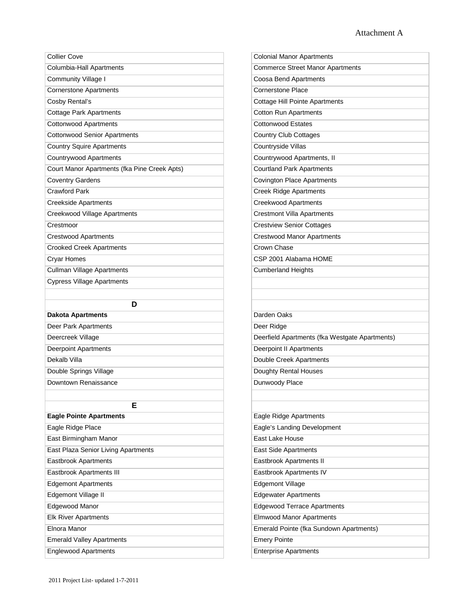| <b>Collier Cove</b>                          | <b>Colonial Manor Apartments</b>               |
|----------------------------------------------|------------------------------------------------|
| Columbia-Hall Apartments                     | <b>Commerce Street Manor Apartments</b>        |
| <b>Community Village I</b>                   | Coosa Bend Apartments                          |
| <b>Cornerstone Apartments</b>                | <b>Cornerstone Place</b>                       |
| Cosby Rental's                               | <b>Cottage Hill Pointe Apartments</b>          |
| <b>Cottage Park Apartments</b>               | <b>Cotton Run Apartments</b>                   |
| <b>Cottonwood Apartments</b>                 | <b>Cottonwood Estates</b>                      |
| <b>Cottonwood Senior Apartments</b>          | <b>Country Club Cottages</b>                   |
| <b>Country Squire Apartments</b>             | Countryside Villas                             |
| <b>Countrywood Apartments</b>                | Countrywood Apartments, II                     |
| Court Manor Apartments (fka Pine Creek Apts) | <b>Courtland Park Apartments</b>               |
| <b>Coventry Gardens</b>                      | <b>Covington Place Apartments</b>              |
| <b>Crawford Park</b>                         | <b>Creek Ridge Apartments</b>                  |
| <b>Creekside Apartments</b>                  | <b>Creekwood Apartments</b>                    |
| Creekwood Village Apartments                 | <b>Crestmont Villa Apartments</b>              |
| Crestmoor                                    | <b>Crestview Senior Cottages</b>               |
| <b>Crestwood Apartments</b>                  | <b>Crestwood Manor Apartments</b>              |
| <b>Crooked Creek Apartments</b>              | <b>Crown Chase</b>                             |
| <b>Cryar Homes</b>                           | CSP 2001 Alabama HOME                          |
| <b>Cullman Village Apartments</b>            | <b>Cumberland Heights</b>                      |
| <b>Cypress Village Apartments</b>            |                                                |
|                                              |                                                |
| D                                            |                                                |
| <b>Dakota Apartments</b>                     | Darden Oaks                                    |
| Deer Park Apartments                         | Deer Ridge                                     |
| Deercreek Village                            | Deerfield Apartments (fka Westgate Apartments) |
| <b>Deerpoint Apartments</b>                  | Deerpoint II Apartments                        |
| Dekalb Villa                                 | <b>Double Creek Apartments</b>                 |
| Double Springs Village                       | Doughty Rental Houses                          |
| Downtown Renaissance                         | Dunwoody Place                                 |
|                                              |                                                |
| Е                                            |                                                |
|                                              |                                                |
| <b>Eagle Pointe Apartments</b>               | Eagle Ridge Apartments                         |
| Eagle Ridge Place                            | Eagle's Landing Development                    |
| East Birmingham Manor                        | East Lake House                                |
| East Plaza Senior Living Apartments          | East Side Apartments                           |
| <b>Eastbrook Apartments</b>                  | Eastbrook Apartments II                        |
| Eastbrook Apartments III                     | Eastbrook Apartments IV                        |
| <b>Edgemont Apartments</b>                   | <b>Edgemont Village</b>                        |
| Edgemont Village II                          | <b>Edgewater Apartments</b>                    |
| Edgewood Manor                               | <b>Edgewood Terrace Apartments</b>             |
| <b>Elk River Apartments</b>                  | <b>Elmwood Manor Apartments</b>                |
| Elnora Manor                                 | Emerald Pointe (fka Sundown Apartments)        |
| <b>Emerald Valley Apartments</b>             | <b>Emery Pointe</b>                            |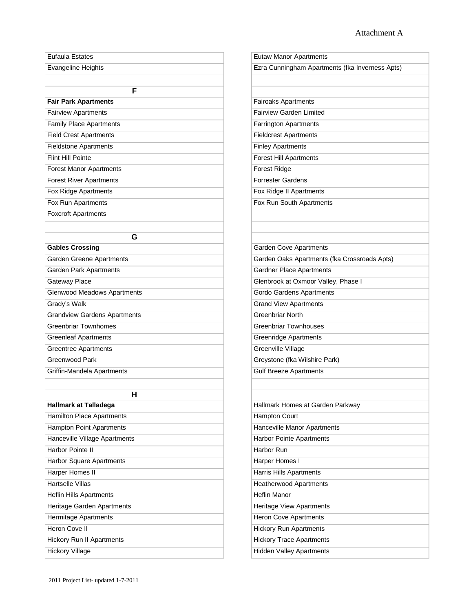| <b>Eutaw Manor Apartments</b>                   |
|-------------------------------------------------|
| Ezra Cunningham Apartments (fka Inverness Apts) |
|                                                 |
| <b>Fairoaks Apartments</b>                      |
| <b>Fairview Garden Limited</b>                  |
| <b>Farrington Apartments</b>                    |
| <b>Fieldcrest Apartments</b>                    |
| <b>Finley Apartments</b>                        |
| <b>Forest Hill Apartments</b>                   |
| <b>Forest Ridge</b>                             |
| <b>Forrester Gardens</b>                        |
| Fox Ridge II Apartments                         |
| Fox Run South Apartments                        |
|                                                 |
|                                                 |
| <b>Garden Cove Apartments</b>                   |
| Garden Oaks Apartments (fka Crossroads Apts)    |
| <b>Gardner Place Apartments</b>                 |
| Glenbrook at Oxmoor Valley, Phase I             |
| Gordo Gardens Apartments                        |
| <b>Grand View Apartments</b>                    |
| <b>Greenbriar North</b>                         |
| <b>Greenbriar Townhouses</b>                    |
| <b>Greenridge Apartments</b>                    |
| <b>Greenville Village</b>                       |
| Greystone (fka Wilshire Park)                   |
| <b>Gulf Breeze Apartments</b>                   |
|                                                 |
| Hallmark Homes at Garden Parkway                |
| Hampton Court                                   |
| Hanceville Manor Apartments                     |
| <b>Harbor Pointe Apartments</b>                 |
| Harbor Run                                      |
| Harper Homes I                                  |
| <b>Harris Hills Apartments</b>                  |
| <b>Heatherwood Apartments</b>                   |
| <b>Heflin Manor</b>                             |
| Heritage View Apartments                        |
| <b>Heron Cove Apartments</b>                    |
| <b>Hickory Run Apartments</b>                   |
| <b>Hickory Trace Apartments</b>                 |
| <b>Hidden Valley Apartments</b>                 |
|                                                 |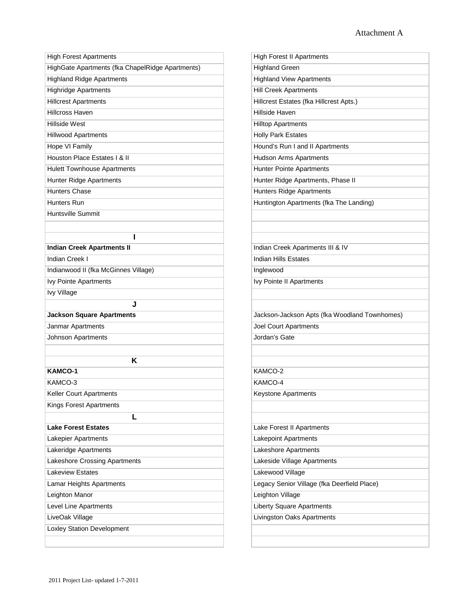| <b>High Forest Apartments</b>                    | <b>High Forest II Apartments</b>              |
|--------------------------------------------------|-----------------------------------------------|
| HighGate Apartments (fka ChapelRidge Apartments) | <b>Highland Green</b>                         |
| <b>Highland Ridge Apartments</b>                 | <b>Highland View Apartments</b>               |
| <b>Highridge Apartments</b>                      | <b>Hill Creek Apartments</b>                  |
| <b>Hillcrest Apartments</b>                      | Hillcrest Estates (fka Hillcrest Apts.)       |
| <b>Hillcross Haven</b>                           | Hillside Haven                                |
| Hillside West                                    | <b>Hilltop Apartments</b>                     |
| <b>Hillwood Apartments</b>                       | <b>Holly Park Estates</b>                     |
| <b>Hope VI Family</b>                            | Hound's Run I and II Apartments               |
| Houston Place Estates I & II                     | <b>Hudson Arms Apartments</b>                 |
| <b>Hulett Townhouse Apartments</b>               | Hunter Pointe Apartments                      |
| <b>Hunter Ridge Apartments</b>                   | Hunter Ridge Apartments, Phase II             |
| <b>Hunters Chase</b>                             | Hunters Ridge Apartments                      |
| Hunters Run                                      | Huntington Apartments (fka The Landing)       |
| Huntsville Summit                                |                                               |
|                                                  |                                               |
| I                                                |                                               |
| <b>Indian Creek Apartments II</b>                | Indian Creek Apartments III & IV              |
| Indian Creek I                                   | <b>Indian Hills Estates</b>                   |
| Indianwood II (fka McGinnes Village)             | Inglewood                                     |
| Ivy Pointe Apartments                            | Ivy Pointe II Apartments                      |
| Ivy Village                                      |                                               |
| J                                                |                                               |
| <b>Jackson Square Apartments</b>                 | Jackson-Jackson Apts (fka Woodland Townhomes) |
| Janmar Apartments                                | <b>Joel Court Apartments</b>                  |
| Johnson Apartments                               | Jordan's Gate                                 |
|                                                  |                                               |
| Κ                                                |                                               |
| <b>KAMCO-1</b>                                   | KAMCO-2                                       |
| KAMCO-3                                          | KAMCO-4                                       |
| Keller Court Apartments                          | Keystone Apartments                           |
| Kings Forest Apartments                          |                                               |
| L                                                |                                               |
| <b>Lake Forest Estates</b>                       | Lake Forest II Apartments                     |
| Lakepier Apartments                              | <b>Lakepoint Apartments</b>                   |
| Lakeridge Apartments                             | Lakeshore Apartments                          |
| Lakeshore Crossing Apartments                    | Lakeside Village Apartments                   |
| <b>Lakeview Estates</b>                          | Lakewood Village                              |
| Lamar Heights Apartments                         | Legacy Senior Village (fka Deerfield Place)   |
| Leighton Manor                                   | Leighton Village                              |
| Level Line Apartments                            | <b>Liberty Square Apartments</b>              |
| LiveOak Village                                  | Livingston Oaks Apartments                    |
| <b>Loxley Station Development</b>                |                                               |
|                                                  |                                               |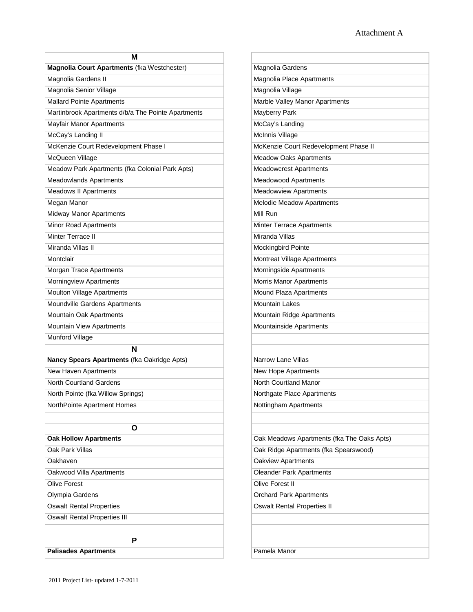| M                                                  |                                                              |
|----------------------------------------------------|--------------------------------------------------------------|
| Magnolia Court Apartments (fka Westchester)        | Magnolia Gardens                                             |
| Magnolia Gardens II                                | Magnolia Place Apartments                                    |
| Magnolia Senior Village                            | Magnolia Village                                             |
| <b>Mallard Pointe Apartments</b>                   | Marble Valley Manor Apartments                               |
| Martinbrook Apartments d/b/a The Pointe Apartments | Mayberry Park                                                |
| <b>Mayfair Manor Apartments</b>                    | McCay's Landing                                              |
| McCay's Landing II                                 | <b>McInnis Village</b>                                       |
| McKenzie Court Redevelopment Phase I               | McKenzie Court Redevelopment Phase II                        |
| McQueen Village                                    | <b>Meadow Oaks Apartments</b>                                |
| Meadow Park Apartments (fka Colonial Park Apts)    | <b>Meadowcrest Apartments</b>                                |
| <b>Meadowlands Apartments</b>                      | <b>Meadowood Apartments</b>                                  |
| <b>Meadows II Apartments</b>                       | <b>Meadowview Apartments</b>                                 |
| Megan Manor                                        | Melodie Meadow Apartments                                    |
| <b>Midway Manor Apartments</b>                     | Mill Run                                                     |
| <b>Minor Road Apartments</b>                       | Minter Terrace Apartments                                    |
| Minter Terrace II                                  | Miranda Villas                                               |
| Miranda Villas II                                  | <b>Mockingbird Pointe</b>                                    |
| Montclair                                          | <b>Montreat Village Apartments</b>                           |
| Morgan Trace Apartments                            | Morningside Apartments                                       |
| Morningview Apartments                             | <b>Morris Manor Apartments</b>                               |
| <b>Moulton Village Apartments</b>                  | Mound Plaza Apartments                                       |
| Moundville Gardens Apartments                      | <b>Mountain Lakes</b>                                        |
| Mountain Oak Apartments                            | Mountain Ridge Apartments                                    |
| Mountain View Apartments                           | Mountainside Apartments                                      |
| Munford Village                                    |                                                              |
| N                                                  |                                                              |
| Nancy Spears Apartments (fka Oakridge Apts)        | <b>Narrow Lane Villas</b>                                    |
| New Haven Apartments                               | New Hope Apartments                                          |
| North Courtland Gardens                            | North Courtland Manor                                        |
| North Pointe (fka Willow Springs)                  | Northgate Place Apartments                                   |
| NorthPointe Apartment Homes                        | Nottingham Apartments                                        |
|                                                    |                                                              |
| O                                                  |                                                              |
| <b>Oak Hollow Apartments</b><br>Oak Park Villas    | Oak Meadows Apartments (fka The Oaks Apts)                   |
|                                                    | Oak Ridge Apartments (fka Spearswood)                        |
| Oakhaven                                           | <b>Oakview Apartments</b><br><b>Oleander Park Apartments</b> |
| Oakwood Villa Apartments<br><b>Olive Forest</b>    | <b>Olive Forest II</b>                                       |
|                                                    |                                                              |
| Olympia Gardens                                    | <b>Orchard Park Apartments</b>                               |
| <b>Oswalt Rental Properties</b>                    | <b>Oswalt Rental Properties II</b>                           |
| <b>Oswalt Rental Properties III</b>                |                                                              |
|                                                    |                                                              |
| P                                                  |                                                              |
| <b>Palisades Apartments</b>                        | Pamela Manor                                                 |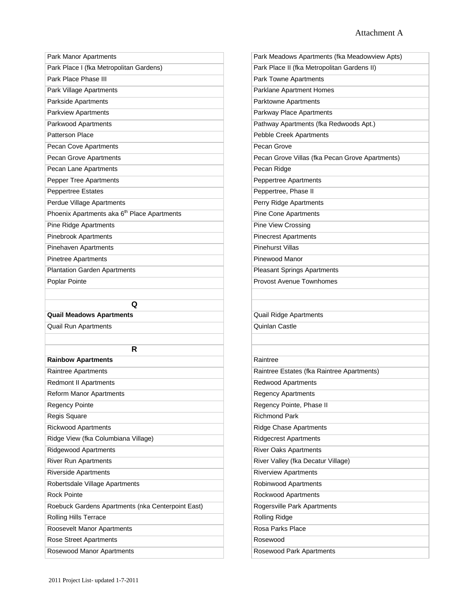| Park Manor Apartments                                   | Park Meadows Apartments (fka Meadowview Apts)   |
|---------------------------------------------------------|-------------------------------------------------|
| Park Place I (fka Metropolitan Gardens)                 | Park Place II (fka Metropolitan Gardens II)     |
| Park Place Phase III                                    | Park Towne Apartments                           |
| Park Village Apartments                                 | Parklane Apartment Homes                        |
| Parkside Apartments                                     | Parktowne Apartments                            |
| <b>Parkview Apartments</b>                              | Parkway Place Apartments                        |
| Parkwood Apartments                                     | Pathway Apartments (fka Redwoods Apt.)          |
| <b>Patterson Place</b>                                  | Pebble Creek Apartments                         |
| Pecan Cove Apartments                                   | Pecan Grove                                     |
| Pecan Grove Apartments                                  | Pecan Grove Villas (fka Pecan Grove Apartments) |
| Pecan Lane Apartments                                   | Pecan Ridge                                     |
| <b>Pepper Tree Apartments</b>                           | Peppertree Apartments                           |
| <b>Peppertree Estates</b>                               | Peppertree, Phase II                            |
| Perdue Village Apartments                               | Perry Ridge Apartments                          |
| Phoenix Apartments aka 6 <sup>th</sup> Place Apartments | <b>Pine Cone Apartments</b>                     |
| <b>Pine Ridge Apartments</b>                            | <b>Pine View Crossing</b>                       |
| <b>Pinebrook Apartments</b>                             | <b>Pinecrest Apartments</b>                     |
| <b>Pinehaven Apartments</b>                             | <b>Pinehurst Villas</b>                         |
| <b>Pinetree Apartments</b>                              | Pinewood Manor                                  |
| <b>Plantation Garden Apartments</b>                     | <b>Pleasant Springs Apartments</b>              |
| Poplar Pointe                                           | Provost Avenue Townhomes                        |
|                                                         |                                                 |
| Q                                                       |                                                 |
| <b>Quail Meadows Apartments</b>                         | Quail Ridge Apartments                          |
| <b>Quail Run Apartments</b>                             | Quinlan Castle                                  |
|                                                         |                                                 |
| R                                                       |                                                 |
| <b>Rainbow Apartments</b>                               | Raintree                                        |
| Raintree Apartments                                     | Raintree Estates (fka Raintree Apartments)      |
| <b>Redmont II Apartments</b>                            | Redwood Apartments                              |
| Reform Manor Apartments                                 | <b>Regency Apartments</b>                       |
| <b>Regency Pointe</b>                                   | Regency Pointe, Phase II                        |
| Regis Square                                            | <b>Richmond Park</b>                            |
| <b>Rickwood Apartments</b>                              | <b>Ridge Chase Apartments</b>                   |
| Ridge View (fka Columbiana Village)                     | <b>Ridgecrest Apartments</b>                    |
| <b>Ridgewood Apartments</b>                             | <b>River Oaks Apartments</b>                    |
| <b>River Run Apartments</b>                             | River Valley (fka Decatur Village)              |
| <b>Riverside Apartments</b>                             | <b>Riverview Apartments</b>                     |
| Robertsdale Village Apartments                          | Robinwood Apartments                            |
| <b>Rock Pointe</b>                                      | Rockwood Apartments                             |
| Roebuck Gardens Apartments (nka Centerpoint East)       | Rogersville Park Apartments                     |
| Rolling Hills Terrace                                   | <b>Rolling Ridge</b>                            |
| Roosevelt Manor Apartments                              | Rosa Parks Place                                |
| Rose Street Apartments                                  | Rosewood                                        |
| Rosewood Manor Apartments                               | Rosewood Park Apartments                        |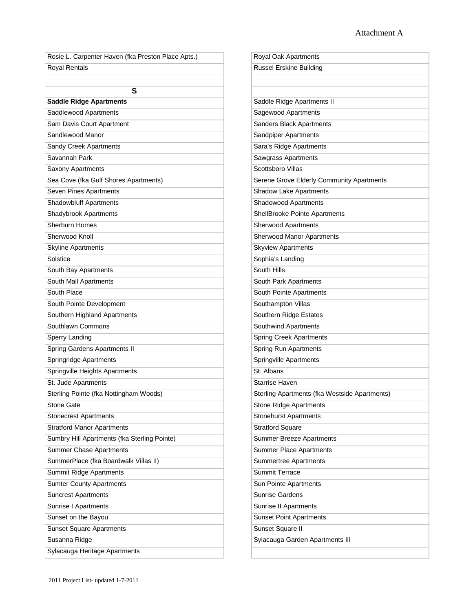| Rosie L. Carpenter Haven (fka Preston Place Apts.) | Royal Oak Apartments                          |
|----------------------------------------------------|-----------------------------------------------|
| Royal Rentals                                      | <b>Russel Erskine Building</b>                |
|                                                    |                                               |
| S                                                  |                                               |
| <b>Saddle Ridge Apartments</b>                     | Saddle Ridge Apartments II                    |
| Saddlewood Apartments                              | Sagewood Apartments                           |
| Sam Davis Court Apartment                          | Sanders Black Apartments                      |
| Sandlewood Manor                                   | Sandpiper Apartments                          |
| Sandy Creek Apartments                             | Sara's Ridge Apartments                       |
| Savannah Park                                      | <b>Sawgrass Apartments</b>                    |
| Saxony Apartments                                  | Scottsboro Villas                             |
| Sea Cove (fka Gulf Shores Apartments)              | Serene Grove Elderly Community Apartments     |
| Seven Pines Apartments                             | <b>Shadow Lake Apartments</b>                 |
| Shadowbluff Apartments                             | Shadowood Apartments                          |
| Shadybrook Apartments                              | ShellBrooke Pointe Apartments                 |
| Sherburn Homes                                     | <b>Sherwood Apartments</b>                    |
| Sherwood Knoll                                     | Sherwood Manor Apartments                     |
| <b>Skyline Apartments</b>                          | <b>Skyview Apartments</b>                     |
| Solstice                                           | Sophia's Landing                              |
| South Bay Apartments                               | South Hills                                   |
| South Mall Apartments                              | South Park Apartments                         |
| South Place                                        | South Pointe Apartments                       |
| South Pointe Development                           | Southampton Villas                            |
| Southern Highland Apartments                       | Southern Ridge Estates                        |
| Southlawn Commons                                  | Southwind Apartments                          |
| <b>Sperry Landing</b>                              | <b>Spring Creek Apartments</b>                |
| <b>Spring Gardens Apartments II</b>                | <b>Spring Run Apartments</b>                  |
| Springridge Apartments                             | <b>Springville Apartments</b>                 |
| Springville Heights Apartments                     | St. Albans                                    |
| St. Jude Apartments                                | <b>Starrise Haven</b>                         |
| Sterling Pointe (fka Nottingham Woods)             | Sterling Apartments (fka Westside Apartments) |
| <b>Stone Gate</b>                                  | Stone Ridge Apartments                        |
| <b>Stonecrest Apartments</b>                       | <b>Stonehurst Apartments</b>                  |
| <b>Stratford Manor Apartments</b>                  | <b>Stratford Square</b>                       |
| Sumbry Hill Apartments (fka Sterling Pointe)       | <b>Summer Breeze Apartments</b>               |
| <b>Summer Chase Apartments</b>                     | <b>Summer Place Apartments</b>                |
| SummerPlace (fka Boardwalk Villas II)              | <b>Summertree Apartments</b>                  |
| <b>Summit Ridge Apartments</b>                     | <b>Summit Terrace</b>                         |
| <b>Sumter County Apartments</b>                    | Sun Pointe Apartments                         |
| <b>Suncrest Apartments</b>                         | <b>Sunrise Gardens</b>                        |
| Sunrise I Apartments                               | Sunrise II Apartments                         |
| Sunset on the Bayou                                | <b>Sunset Point Apartments</b>                |
| <b>Sunset Square Apartments</b>                    | Sunset Square II                              |
| Susanna Ridge                                      | Sylacauga Garden Apartments III               |
| Sylacauga Heritage Apartments                      |                                               |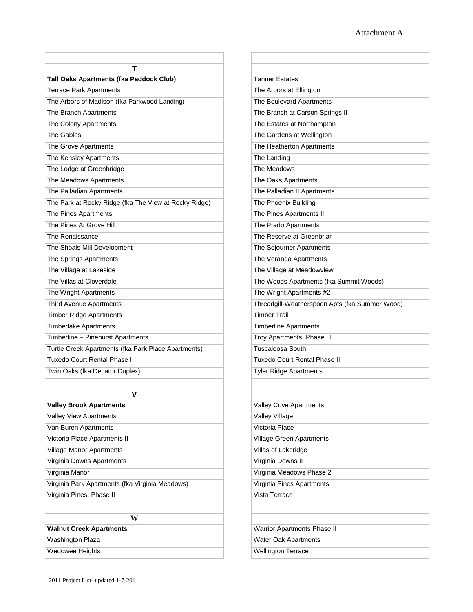| т<br>Tall Oaks Apartments (fka Paddock Club)          | <b>Tanner Estates</b>                          |
|-------------------------------------------------------|------------------------------------------------|
| <b>Terrace Park Apartments</b>                        | The Arbors at Ellington                        |
| The Arbors of Madison (fka Parkwood Landing)          | The Boulevard Apartments                       |
|                                                       |                                                |
| The Branch Apartments                                 | The Branch at Carson Springs II                |
| The Colony Apartments                                 | The Estates at Northampton                     |
| The Gables                                            | The Gardens at Wellington                      |
| The Grove Apartments                                  | The Heatherton Apartments                      |
| The Kensley Apartments                                | The Landing                                    |
| The Lodge at Greenbridge                              | The Meadows                                    |
| The Meadows Apartments                                | The Oaks Apartments                            |
| The Palladian Apartments                              | The Palladian II Apartments                    |
| The Park at Rocky Ridge (fka The View at Rocky Ridge) | The Phoenix Building                           |
| The Pines Apartments                                  | The Pines Apartments II                        |
| The Pines At Grove Hill                               | The Prado Apartments                           |
| The Renaissance                                       | The Reserve at Greenbriar                      |
| The Shoals Mill Development                           | The Sojourner Apartments                       |
| The Springs Apartments                                | The Veranda Apartments                         |
| The Village at Lakeside                               | The Village at Meadowview                      |
| The Villas at Cloverdale                              | The Woods Apartments (fka Summit Woods)        |
| The Wright Apartments                                 | The Wright Apartments #2                       |
| <b>Third Avenue Apartments</b>                        | Threadgill-Weatherspoon Apts (fka Summer Wood) |
| <b>Timber Ridge Apartments</b>                        | <b>Timber Trail</b>                            |
| <b>Timberlake Apartments</b>                          | <b>Timberline Apartments</b>                   |
| Timberline - Pinehurst Apartments                     | Troy Apartments, Phase III                     |
| Turtle Creek Apartments (fka Park Place Apartments)   | <b>Tuscaloosa South</b>                        |
| Tuxedo Court Rental Phase I                           | <b>Tuxedo Court Rental Phase II</b>            |
| Twin Oaks (fka Decatur Duplex)                        | <b>Tyler Ridge Apartments</b>                  |
|                                                       |                                                |
| v                                                     |                                                |
| <b>Valley Brook Apartments</b>                        | <b>Valley Cove Apartments</b>                  |
| Valley View Apartments                                | Valley Village                                 |
| Van Buren Apartments                                  | Victoria Place                                 |
| Victoria Place Apartments II                          | Village Green Apartments                       |
| Village Manor Apartments                              | Villas of Lakeridge                            |
| Virginia Downs Apartments                             | Virginia Downs II                              |
| Virginia Manor                                        | Virginia Meadows Phase 2                       |
| Virginia Park Apartments (fka Virginia Meadows)       | Virginia Pines Apartments                      |
| Virginia Pines, Phase II                              | Vista Terrace                                  |
|                                                       |                                                |
| W                                                     |                                                |
| <b>Walnut Creek Apartments</b>                        | Warrior Apartments Phase II                    |
| <b>Washington Plaza</b>                               | Water Oak Apartments                           |
| Wedowee Heights                                       | <b>Wellington Terrace</b>                      |
|                                                       |                                                |